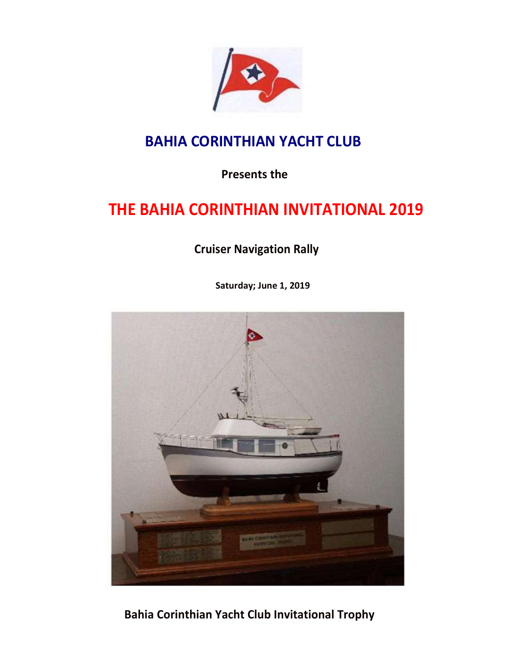

## **BAHIA CORINTHIAN YACHT CLUB**

**Presents the** 

## **THE BAHIA CORINTHIAN INVITATIONAL 2019**

**Cruiser Navigation Rally**

**Saturday; June 1, 2019** 



**Bahia Corinthian Yacht Club Invitational Trophy**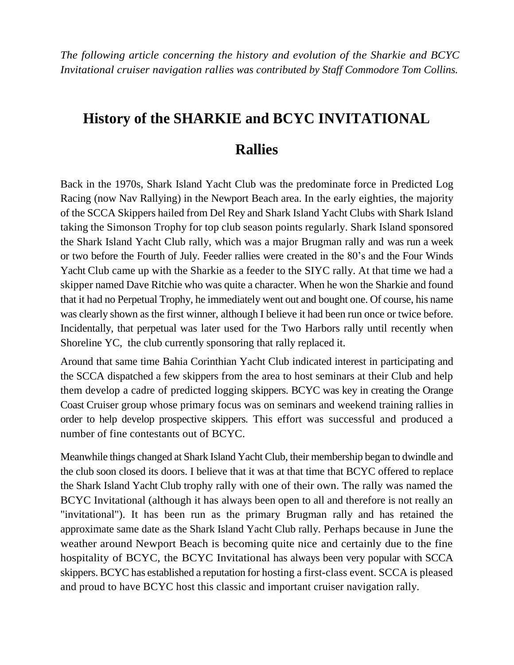*The following article concerning the history and evolution of the Sharkie and BCYC Invitational cruiser navigation rallies was contributed by Staff Commodore Tom Collins.*

# **History of the SHARKIE and BCYC INVITATIONAL**

### **Rallies**

Back in the 1970s, Shark Island Yacht Club was the predominate force in Predicted Log Racing (now Nav Rallying) in the Newport Beach area. In the early eighties, the majority of the SCCA Skippers hailed from Del Rey and Shark Island Yacht Clubs with Shark Island taking the Simonson Trophy for top club season points regularly. Shark Island sponsored the Shark Island Yacht Club rally, which was a major Brugman rally and was run a week or two before the Fourth of July. Feeder rallies were created in the 80's and the Four Winds Yacht Club came up with the Sharkie as a feeder to the SIYC rally. At that time we had a skipper named Dave Ritchie who was quite a character. When he won the Sharkie and found that it had no Perpetual Trophy, he immediately went out and bought one. Of course, his name was clearly shown as the first winner, although I believe it had been run once or twice before. Incidentally, that perpetual was later used for the Two Harbors rally until recently when Shoreline YC, the club currently sponsoring that rally replaced it.

Around that same time Bahia Corinthian Yacht Club indicated interest in participating and the SCCA dispatched a few skippers from the area to host seminars at their Club and help them develop a cadre of predicted logging skippers. BCYC was key in creating the Orange Coast Cruiser group whose primary focus was on seminars and weekend training rallies in order to help develop prospective skippers. This effort was successful and produced a number of fine contestants out of BCYC.

Meanwhile things changed at Shark Island Yacht Club, their membership began to dwindle and the club soon closed its doors. I believe that it was at that time that BCYC offered to replace the Shark Island Yacht Club trophy rally with one of their own. The rally was named the BCYC Invitational (although it has always been open to all and therefore is not really an "invitational"). It has been run as the primary Brugman rally and has retained the approximate same date as the Shark Island Yacht Club rally. Perhaps because in June the weather around Newport Beach is becoming quite nice and certainly due to the fine hospitality of BCYC, the BCYC Invitational has always been very popular with SCCA skippers. BCYC has established a reputation for hosting a first-class event. SCCA is pleased and proud to have BCYC host this classic and important cruiser navigation rally.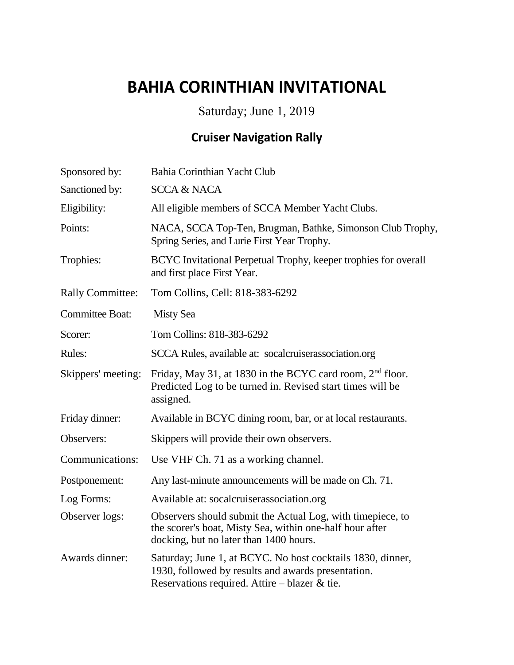## **BAHIA CORINTHIAN INVITATIONAL**

Saturday; June 1, 2019

## **Cruiser Navigation Rally**

| Sponsored by:           | Bahia Corinthian Yacht Club                                                                                                                                          |
|-------------------------|----------------------------------------------------------------------------------------------------------------------------------------------------------------------|
| Sanctioned by:          | <b>SCCA &amp; NACA</b>                                                                                                                                               |
| Eligibility:            | All eligible members of SCCA Member Yacht Clubs.                                                                                                                     |
| Points:                 | NACA, SCCA Top-Ten, Brugman, Bathke, Simonson Club Trophy,<br>Spring Series, and Lurie First Year Trophy.                                                            |
| Trophies:               | BCYC Invitational Perpetual Trophy, keeper trophies for overall<br>and first place First Year.                                                                       |
| <b>Rally Committee:</b> | Tom Collins, Cell: 818-383-6292                                                                                                                                      |
| <b>Committee Boat:</b>  | <b>Misty Sea</b>                                                                                                                                                     |
| Scorer:                 | Tom Collins: 818-383-6292                                                                                                                                            |
| Rules:                  | SCCA Rules, available at: socalcruiserassociation.org                                                                                                                |
| Skippers' meeting:      | Friday, May 31, at 1830 in the BCYC card room, 2 <sup>nd</sup> floor.<br>Predicted Log to be turned in. Revised start times will be<br>assigned.                     |
| Friday dinner:          | Available in BCYC dining room, bar, or at local restaurants.                                                                                                         |
| Observers:              | Skippers will provide their own observers.                                                                                                                           |
| Communications:         | Use VHF Ch. 71 as a working channel.                                                                                                                                 |
| Postponement:           | Any last-minute announcements will be made on Ch. 71.                                                                                                                |
| Log Forms:              | Available at: socalcruiserassociation.org                                                                                                                            |
| Observer logs:          | Observers should submit the Actual Log, with timepiece, to<br>the scorer's boat, Misty Sea, within one-half hour after<br>docking, but no later than 1400 hours.     |
| Awards dinner:          | Saturday; June 1, at BCYC. No host cocktails 1830, dinner,<br>1930, followed by results and awards presentation.<br>Reservations required. Attire – blazer $\&$ tie. |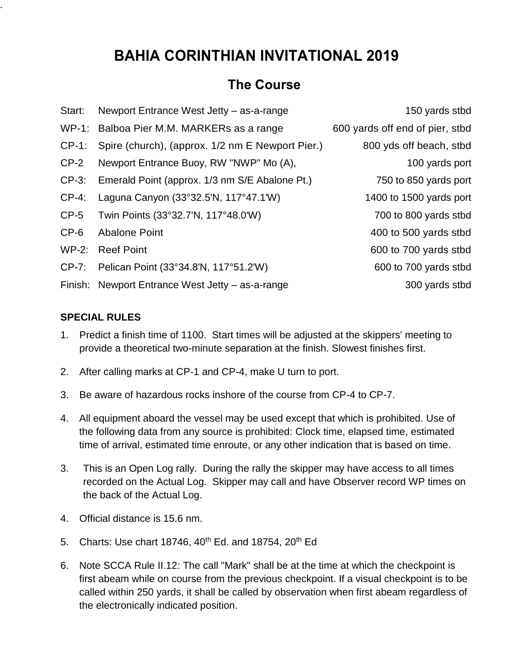## **BAHIA CORINTHIAN INVITATIONAL 2019**

#### **The Course**

| Start:   | Newport Entrance West Jetty - as-a-range         | 150 yards stbd                  |
|----------|--------------------------------------------------|---------------------------------|
| $WP-1$ : | Balboa Pier M.M. MARKERs as a range              | 600 yards off end of pier, stbd |
| $CP-1$ : | Spire (church), (approx. 1/2 nm E Newport Pier.) | 800 yds off beach, stbd         |
| $CP-2$   | Newport Entrance Buoy, RW "NWP" Mo (A),          | 100 yards port                  |
| $CP-3$ : | Emerald Point (approx. 1/3 nm S/E Abalone Pt.)   | 750 to 850 yards port           |
| $CP-4$ : | Laguna Canyon (33°32.5'N, 117°47.1'W)            | 1400 to 1500 yards port         |
| $CP-5$   | Twin Points (33°32.7'N, 117°48.0'W)              | 700 to 800 yards stbd           |
| $CP-6$   | <b>Abalone Point</b>                             | 400 to 500 yards stbd           |
| $WP-2:$  | <b>Reef Point</b>                                | 600 to 700 yards stbd           |
| $CP-7$ : | Pelican Point (33°34.8'N, 117°51.2'W)            | 600 to 700 yards stbd           |
| Finish:  | Newport Entrance West Jetty - as-a-range         | 300 yards stbd                  |

#### **SPECIAL RULES**

.

- 1. Predict a finish time of 1100. Start times will be adjusted at the skippers' meeting to provide a theoretical two-minute separation at the finish. Slowest finishes first.
- 2. After calling marks at CP-1 and CP-4, make U turn to port.
- 3. Be aware of hazardous rocks inshore of the course from CP-4 to CP-7.
- 4. All equipment aboard the vessel may be used except that which is prohibited. Use of the following data from any source is prohibited: Clock time, elapsed time, estimated time of arrival, estimated time enroute, or any other indication that is based on time.
- 3. This is an Open Log rally. During the rally the skipper may have access to all times recorded on the Actual Log. Skipper may call and have Observer record WP times on the back of the Actual Log.
- 4. Official distance is 15.6 nm.
- 5. Charts: Use chart 18746, 40<sup>th</sup> Ed. and 18754, 20<sup>th</sup> Ed
- 6. Note SCCA Rule II.12: The call "Mark" shall be at the time at which the checkpoint is first abeam while on course from the previous checkpoint. If a visual checkpoint is to be called within 250 yards, it shall be called by observation when first abeam regardless of the electronically indicated position.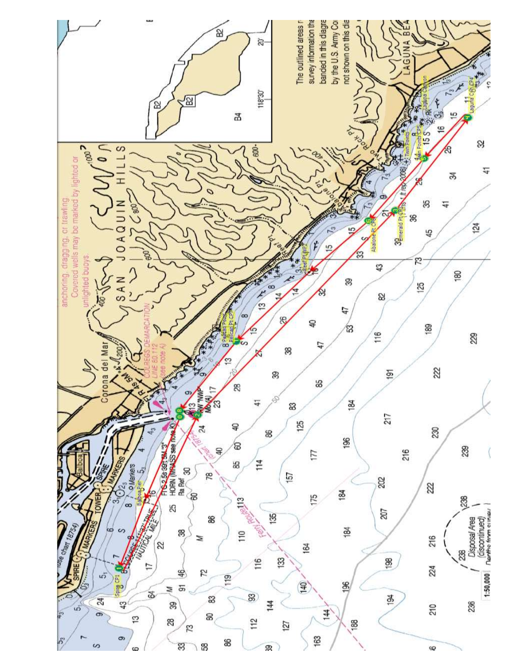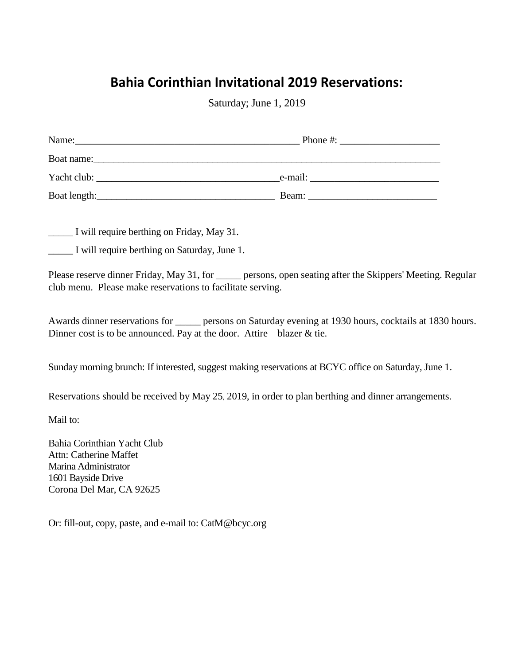## **Bahia Corinthian Invitational 2019 Reservations:**

Saturday; June 1, 2019

| Name:        | Phone #: |  |  |
|--------------|----------|--|--|
|              |          |  |  |
| Yacht club:  | e-mail:  |  |  |
| Boat length: | Beam:    |  |  |

\_\_\_\_\_ I will require berthing on Friday, May 31.

\_\_\_\_\_ I will require berthing on Saturday, June 1.

Please reserve dinner Friday, May 31, for \_\_\_\_\_\_ persons, open seating after the Skippers' Meeting. Regular club menu. Please make reservations to facilitate serving.

Awards dinner reservations for \_\_\_\_\_ persons on Saturday evening at 1930 hours, cocktails at 1830 hours. Dinner cost is to be announced. Pay at the door. Attire – blazer  $\&$  tie.

Sunday morning brunch: If interested, suggest making reservations at BCYC office on Saturday, June 1.

Reservations should be received by May 25, 2019, in order to plan berthing and dinner arrangements.

Mail to:

Bahia Corinthian Yacht Club Attn: Catherine Maffet Marina Administrator 1601 Bayside Drive Corona Del Mar, CA 92625

Or: fill-out, copy, paste, and e-mail to: CatM@bcyc.org